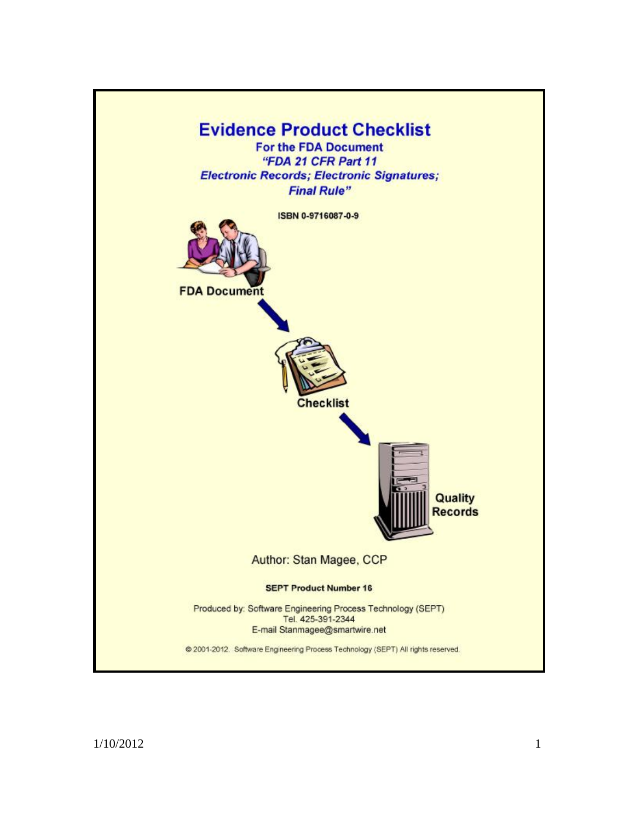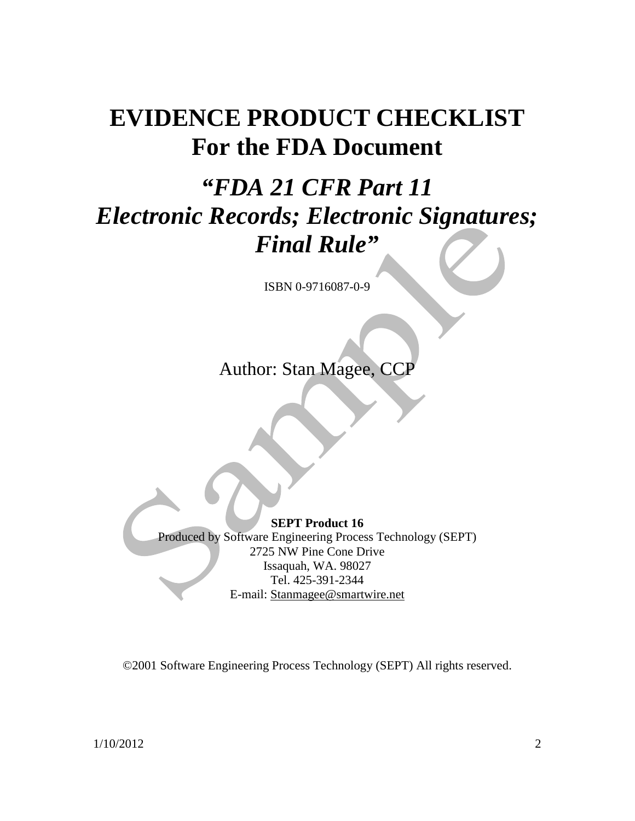# **EVIDENCE PRODUCT CHECKLIST For the FDA Document**

# *"FDA 21 CFR Part 11 Electronic Records; Electronic Signatures; Final Rule"*

ISBN 0-9716087-0-9

Author: Stan Magee, CCP

**SEPT Product 16**  Produced by Software Engineering Process Technology (SEPT) 2725 NW Pine Cone Drive Issaquah, WA. 98027 Tel. 425-391-2344 E-mail: [Stanmagee@smartwire.net](mailto:Stanmagee@smartwire.net)

©2001 Software Engineering Process Technology (SEPT) All rights reserved.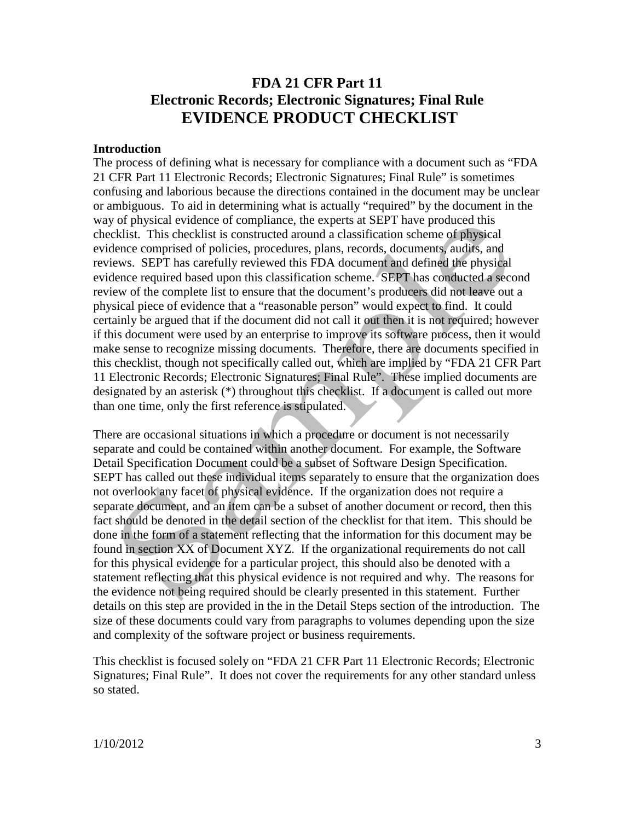## **FDA 21 CFR Part 11 Electronic Records; Electronic Signatures; Final Rule EVIDENCE PRODUCT CHECKLIST**

#### **Introduction**

The process of defining what is necessary for compliance with a document such as "FDA 21 CFR Part 11 Electronic Records; Electronic Signatures; Final Rule" is sometimes confusing and laborious because the directions contained in the document may be unclear or ambiguous. To aid in determining what is actually "required" by the document in the way of physical evidence of compliance, the experts at SEPT have produced this checklist. This checklist is constructed around a classification scheme of physical evidence comprised of policies, procedures, plans, records, documents, audits, and reviews. SEPT has carefully reviewed this FDA document and defined the physical evidence required based upon this classification scheme. SEPT has conducted a second review of the complete list to ensure that the document's producers did not leave out a physical piece of evidence that a "reasonable person" would expect to find. It could certainly be argued that if the document did not call it out then it is not required; however if this document were used by an enterprise to improve its software process, then it would make sense to recognize missing documents. Therefore, there are documents specified in this checklist, though not specifically called out, which are implied by "FDA 21 CFR Part 11 Electronic Records; Electronic Signatures; Final Rule". These implied documents are designated by an asterisk (\*) throughout this checklist. If a document is called out more than one time, only the first reference is stipulated.

There are occasional situations in which a procedure or document is not necessarily separate and could be contained within another document. For example, the Software Detail Specification Document could be a subset of Software Design Specification. SEPT has called out these individual items separately to ensure that the organization does not overlook any facet of physical evidence. If the organization does not require a separate document, and an item can be a subset of another document or record, then this fact should be denoted in the detail section of the checklist for that item. This should be done in the form of a statement reflecting that the information for this document may be found in section XX of Document XYZ. If the organizational requirements do not call for this physical evidence for a particular project, this should also be denoted with a statement reflecting that this physical evidence is not required and why. The reasons for the evidence not being required should be clearly presented in this statement. Further details on this step are provided in the in the Detail Steps section of the introduction. The size of these documents could vary from paragraphs to volumes depending upon the size and complexity of the software project or business requirements.

This checklist is focused solely on "FDA 21 CFR Part 11 Electronic Records; Electronic Signatures; Final Rule". It does not cover the requirements for any other standard unless so stated.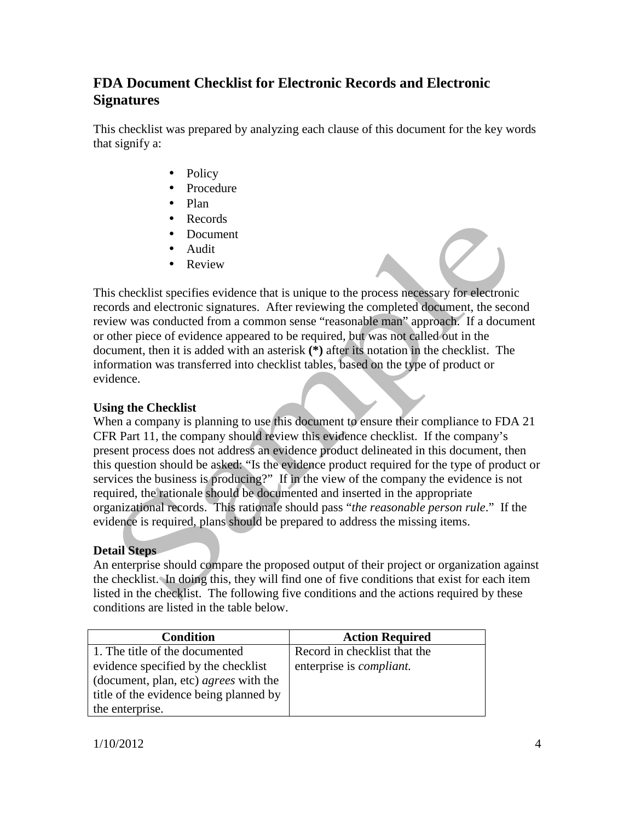## **FDA Document Checklist for Electronic Records and Electronic Signatures**

This checklist was prepared by analyzing each clause of this document for the key words that signify a:

- Policy
- Procedure
- Plan
- Records
- Document
- Audit
- Review

This checklist specifies evidence that is unique to the process necessary for electronic records and electronic signatures. After reviewing the completed document, the second review was conducted from a common sense "reasonable man" approach. If a document or other piece of evidence appeared to be required, but was not called out in the document, then it is added with an asterisk **(\*)** after its notation in the checklist. The information was transferred into checklist tables, based on the type of product or evidence.

#### **Using the Checklist**

When a company is planning to use this document to ensure their compliance to FDA 21 CFR Part 11, the company should review this evidence checklist. If the company's present process does not address an evidence product delineated in this document, then this question should be asked: "Is the evidence product required for the type of product or services the business is producing?" If in the view of the company the evidence is not required, the rationale should be documented and inserted in the appropriate organizational records. This rationale should pass "*the reasonable person rule*." If the evidence is required, plans should be prepared to address the missing items.

### **Detail Steps**

An enterprise should compare the proposed output of their project or organization against the checklist. In doing this, they will find one of five conditions that exist for each item listed in the checklist. The following five conditions and the actions required by these conditions are listed in the table below.

| <b>Condition</b>                             | <b>Action Required</b>           |
|----------------------------------------------|----------------------------------|
| 1. The title of the documented               | Record in checklist that the     |
| evidence specified by the checklist          | enterprise is <i>compliant</i> . |
| (document, plan, etc) <i>agrees</i> with the |                                  |
| title of the evidence being planned by       |                                  |
| the enterprise.                              |                                  |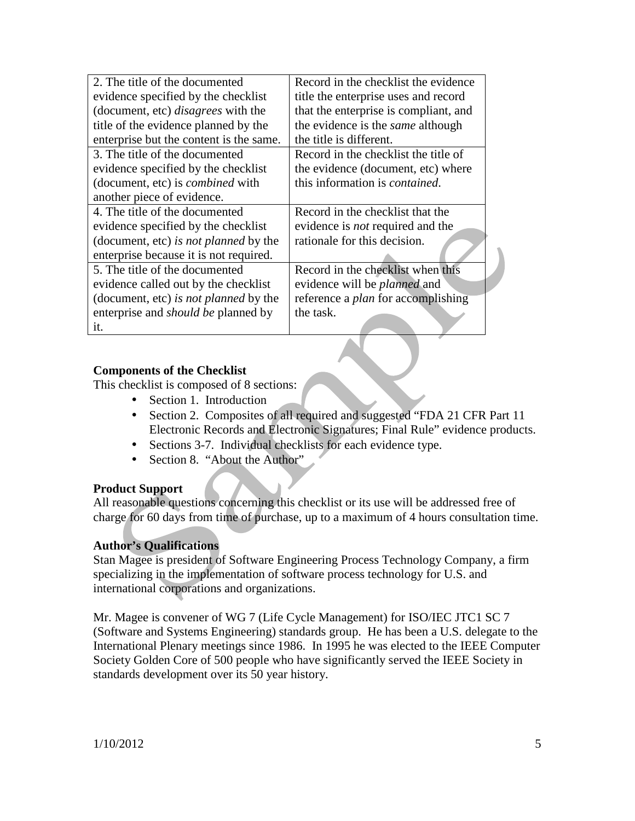| 2. The title of the documented             | Record in the checklist the evidence      |  |  |  |  |
|--------------------------------------------|-------------------------------------------|--|--|--|--|
| evidence specified by the checklist        | title the enterprise uses and record      |  |  |  |  |
| (document, etc) <i>disagrees</i> with the  | that the enterprise is compliant, and     |  |  |  |  |
| title of the evidence planned by the       | the evidence is the <i>same</i> although  |  |  |  |  |
| enterprise but the content is the same.    | the title is different.                   |  |  |  |  |
| 3. The title of the documented             | Record in the checklist the title of      |  |  |  |  |
| evidence specified by the checklist        | the evidence (document, etc) where        |  |  |  |  |
| (document, etc) is <i>combined</i> with    | this information is <i>contained</i> .    |  |  |  |  |
| another piece of evidence.                 |                                           |  |  |  |  |
| 4. The title of the documented             | Record in the checklist that the          |  |  |  |  |
| evidence specified by the checklist        | evidence is <i>not</i> required and the   |  |  |  |  |
| (document, etc) is not planned by the      | rationale for this decision.              |  |  |  |  |
| enterprise because it is not required.     |                                           |  |  |  |  |
| 5. The title of the documented             | Record in the checklist when this         |  |  |  |  |
| evidence called out by the checklist       | evidence will be <i>planned</i> and       |  |  |  |  |
| (document, etc) is not planned by the      | reference a <i>plan</i> for accomplishing |  |  |  |  |
| enterprise and <i>should be</i> planned by | the task.                                 |  |  |  |  |
| it.                                        |                                           |  |  |  |  |

#### **Components of the Checklist**

This checklist is composed of 8 sections:

- Section 1. Introduction
- Section 2. Composites of all required and suggested "FDA 21 CFR Part 11 Electronic Records and Electronic Signatures; Final Rule" evidence products.
- Sections 3-7. Individual checklists for each evidence type.
- Section 8. "About the Author"

#### **Product Support**

All reasonable questions concerning this checklist or its use will be addressed free of charge for 60 days from time of purchase, up to a maximum of 4 hours consultation time.

#### **Author's Qualifications**

Stan Magee is president of Software Engineering Process Technology Company, a firm specializing in the implementation of software process technology for U.S. and international corporations and organizations.

Mr. Magee is convener of WG 7 (Life Cycle Management) for ISO/IEC JTC1 SC 7 (Software and Systems Engineering) standards group. He has been a U.S. delegate to the International Plenary meetings since 1986. In 1995 he was elected to the IEEE Computer Society Golden Core of 500 people who have significantly served the IEEE Society in standards development over its 50 year history.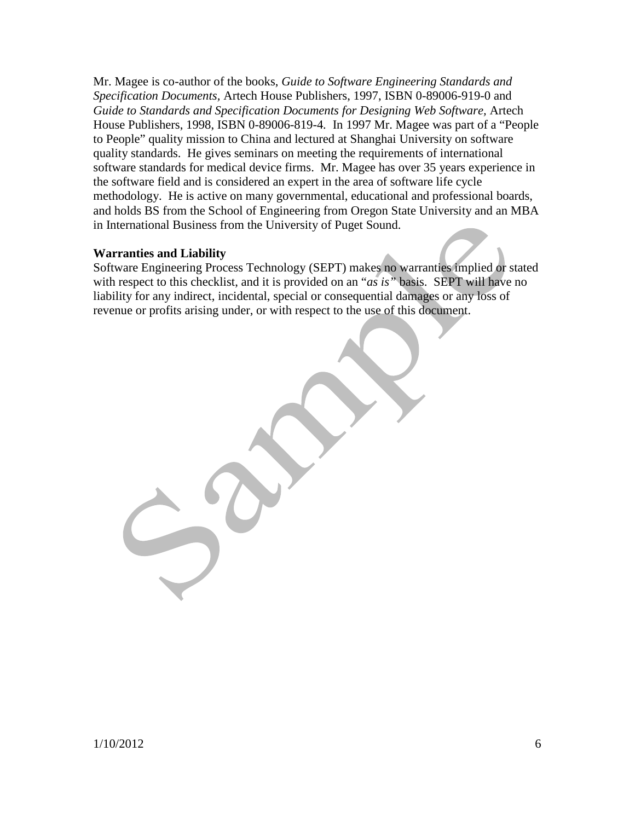Mr. Magee is co-author of the books, *Guide to Software Engineering Standards and Specification Documents,* Artech House Publishers, 1997, ISBN 0-89006-919-0 and *Guide to Standards and Specification Documents for Designing Web Software,* Artech House Publishers, 1998, ISBN 0-89006-819-4*.* In 1997 Mr. Magee was part of a "People to People" quality mission to China and lectured at Shanghai University on software quality standards. He gives seminars on meeting the requirements of international software standards for medical device firms. Mr. Magee has over 35 years experience in the software field and is considered an expert in the area of software life cycle methodology. He is active on many governmental, educational and professional boards, and holds BS from the School of Engineering from Oregon State University and an MBA in International Business from the University of Puget Sound.

#### **Warranties and Liability**

Software Engineering Process Technology (SEPT) makes no warranties implied or stated with respect to this checklist, and it is provided on an "*as is"* basis. SEPT will have no liability for any indirect, incidental, special or consequential damages or any loss of revenue or profits arising under, or with respect to the use of this document.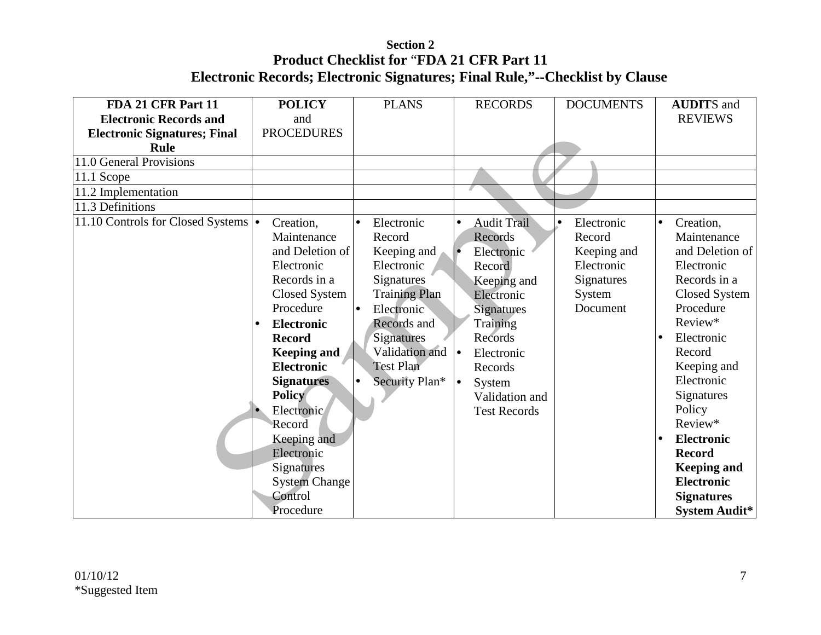| FDA 21 CFR Part 11                   | <b>POLICY</b>                                                                                                                                                                                                                                                                                                                                      | <b>PLANS</b>                                                                                                                                                                                                                        | <b>RECORDS</b>                                                                                                                                                                                                                       | <b>DOCUMENTS</b>                                                                                   | <b>AUDITS</b> and                                                                                                                                                                                                                                                                                                                                 |
|--------------------------------------|----------------------------------------------------------------------------------------------------------------------------------------------------------------------------------------------------------------------------------------------------------------------------------------------------------------------------------------------------|-------------------------------------------------------------------------------------------------------------------------------------------------------------------------------------------------------------------------------------|--------------------------------------------------------------------------------------------------------------------------------------------------------------------------------------------------------------------------------------|----------------------------------------------------------------------------------------------------|---------------------------------------------------------------------------------------------------------------------------------------------------------------------------------------------------------------------------------------------------------------------------------------------------------------------------------------------------|
| <b>Electronic Records and</b>        | and                                                                                                                                                                                                                                                                                                                                                |                                                                                                                                                                                                                                     |                                                                                                                                                                                                                                      |                                                                                                    | <b>REVIEWS</b>                                                                                                                                                                                                                                                                                                                                    |
| <b>Electronic Signatures; Final</b>  | <b>PROCEDURES</b>                                                                                                                                                                                                                                                                                                                                  |                                                                                                                                                                                                                                     |                                                                                                                                                                                                                                      |                                                                                                    |                                                                                                                                                                                                                                                                                                                                                   |
| <b>Rule</b>                          |                                                                                                                                                                                                                                                                                                                                                    |                                                                                                                                                                                                                                     |                                                                                                                                                                                                                                      |                                                                                                    |                                                                                                                                                                                                                                                                                                                                                   |
| 11.0 General Provisions              |                                                                                                                                                                                                                                                                                                                                                    |                                                                                                                                                                                                                                     |                                                                                                                                                                                                                                      |                                                                                                    |                                                                                                                                                                                                                                                                                                                                                   |
| $11.1$ Scope                         |                                                                                                                                                                                                                                                                                                                                                    |                                                                                                                                                                                                                                     |                                                                                                                                                                                                                                      |                                                                                                    |                                                                                                                                                                                                                                                                                                                                                   |
| 11.2 Implementation                  |                                                                                                                                                                                                                                                                                                                                                    |                                                                                                                                                                                                                                     |                                                                                                                                                                                                                                      |                                                                                                    |                                                                                                                                                                                                                                                                                                                                                   |
| 11.3 Definitions                     |                                                                                                                                                                                                                                                                                                                                                    |                                                                                                                                                                                                                                     |                                                                                                                                                                                                                                      |                                                                                                    |                                                                                                                                                                                                                                                                                                                                                   |
| 11.10 Controls for Closed Systems  . | Creation,<br>Maintenance<br>and Deletion of<br>Electronic<br>Records in a<br><b>Closed System</b><br>Procedure<br><b>Electronic</b><br><b>Record</b><br><b>Keeping and</b><br><b>Electronic</b><br><b>Signatures</b><br><b>Policy</b><br>Electronic<br>Record<br>Keeping and<br>Electronic<br><b>Signatures</b><br><b>System Change</b><br>Control | Electronic<br>$\bullet$<br>Record<br>Keeping and<br>Electronic<br><b>Signatures</b><br><b>Training Plan</b><br>Electronic<br>I۰<br>Records and<br>Signatures<br>Validation and $\vert \bullet \vert$<br>Test Plan<br>Security Plan* | <b>Audit Trail</b><br>$\bullet$<br>Records<br>Electronic<br>Record<br>Keeping and<br>Electronic<br><b>Signatures</b><br>Training<br>Records<br>Electronic<br>Records<br>$\bullet$<br>System<br>Validation and<br><b>Test Records</b> | Electronic<br>$\bullet$<br>Record<br>Keeping and<br>Electronic<br>Signatures<br>System<br>Document | Creation,<br>$\bullet$<br>Maintenance<br>and Deletion of<br>Electronic<br>Records in a<br><b>Closed System</b><br>Procedure<br>Review*<br>Electronic<br>$\bullet$<br>Record<br>Keeping and<br>Electronic<br>Signatures<br>Policy<br>Review*<br><b>Electronic</b><br><b>Record</b><br><b>Keeping and</b><br><b>Electronic</b><br><b>Signatures</b> |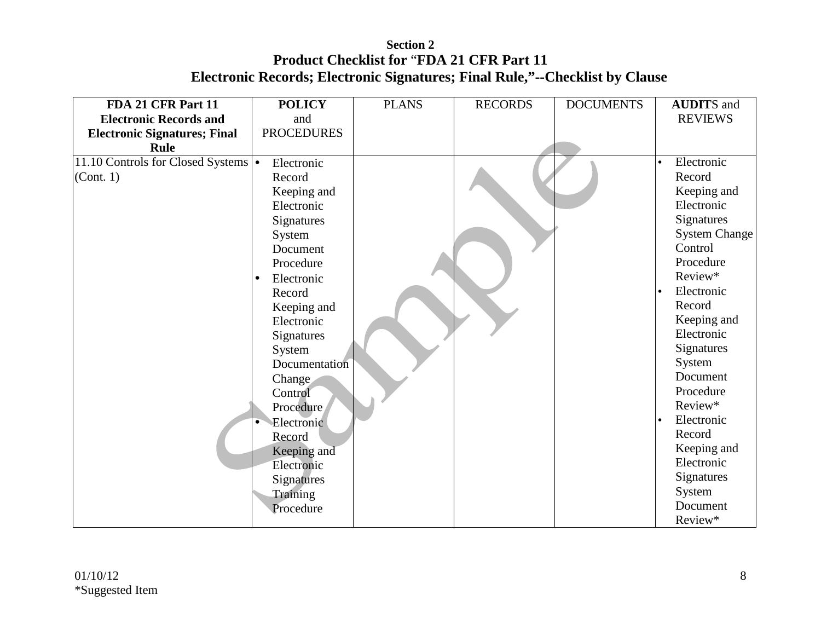| FDA 21 CFR Part 11                   | <b>POLICY</b>           | <b>PLANS</b> | <b>RECORDS</b> | <b>DOCUMENTS</b> | <b>AUDITS</b> and       |
|--------------------------------------|-------------------------|--------------|----------------|------------------|-------------------------|
| <b>Electronic Records and</b>        | and                     |              |                |                  | <b>REVIEWS</b>          |
| <b>Electronic Signatures; Final</b>  | <b>PROCEDURES</b>       |              |                |                  |                         |
| <b>Rule</b>                          |                         |              |                |                  |                         |
| 11.10 Controls for Closed Systems  . | Electronic              |              |                |                  | Electronic<br>$\bullet$ |
| (Cont. 1)                            | Record                  |              |                |                  | Record                  |
|                                      | Keeping and             |              |                |                  | Keeping and             |
|                                      | Electronic              |              |                |                  | Electronic              |
|                                      | Signatures              |              |                |                  | Signatures              |
|                                      | System                  |              |                |                  | <b>System Change</b>    |
|                                      | Document                |              |                |                  | Control                 |
|                                      | Procedure               |              |                |                  | Procedure               |
|                                      | Electronic<br>$\bullet$ |              |                |                  | Review*                 |
|                                      | Record                  |              |                |                  | Electronic<br>l.        |
|                                      | Keeping and             |              |                |                  | Record                  |
|                                      | Electronic              |              |                |                  | Keeping and             |
|                                      | Signatures              |              |                |                  | Electronic              |
|                                      | System                  |              |                |                  | Signatures              |
|                                      | Documentation           |              |                |                  | System                  |
|                                      | Change                  |              |                |                  | Document                |
|                                      | Control                 |              |                |                  | Procedure               |
|                                      | Procedure               |              |                |                  | Review*                 |
|                                      | Electronic              |              |                |                  | Electronic<br>$\bullet$ |
|                                      | Record                  |              |                |                  | Record                  |
|                                      | Keeping and             |              |                |                  | Keeping and             |
|                                      | Electronic              |              |                |                  | Electronic              |
|                                      | Signatures              |              |                |                  | Signatures              |
|                                      | Training                |              |                |                  | System                  |
|                                      | Procedure               |              |                |                  | Document                |
|                                      |                         |              |                |                  | Review*                 |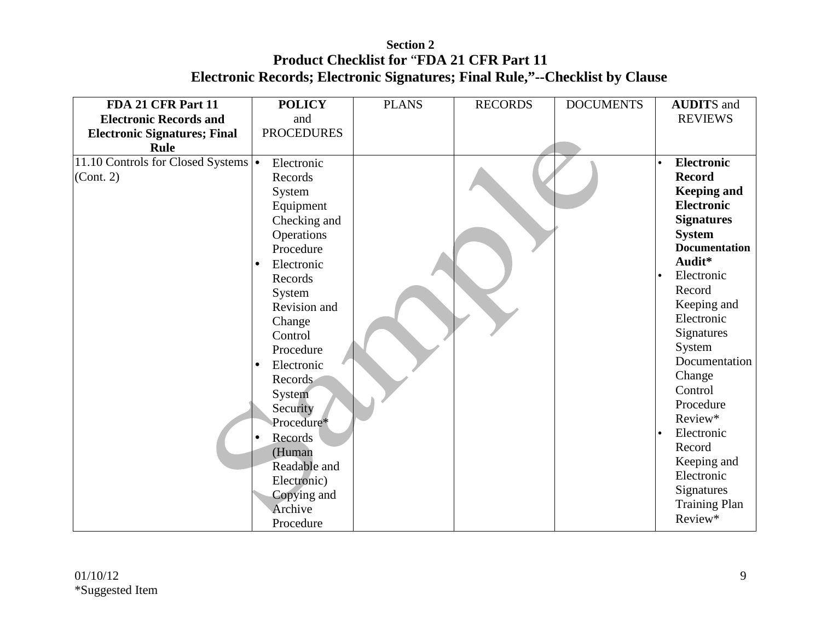| FDA 21 CFR Part 11                   | <b>POLICY</b>           | <b>PLANS</b> | <b>RECORDS</b> | <b>DOCUMENTS</b> | <b>AUDITS</b> and       |
|--------------------------------------|-------------------------|--------------|----------------|------------------|-------------------------|
| <b>Electronic Records and</b>        | and                     |              |                |                  | <b>REVIEWS</b>          |
| <b>Electronic Signatures; Final</b>  | <b>PROCEDURES</b>       |              |                |                  |                         |
| <b>Rule</b>                          |                         |              |                |                  |                         |
| 11.10 Controls for Closed Systems  . | Electronic              |              |                |                  | <b>Electronic</b>       |
| (Cont. 2)                            | Records                 |              |                |                  | <b>Record</b>           |
|                                      | System                  |              |                |                  | <b>Keeping and</b>      |
|                                      | Equipment               |              |                |                  | <b>Electronic</b>       |
|                                      | Checking and            |              |                |                  | <b>Signatures</b>       |
|                                      | Operations              |              |                |                  | <b>System</b>           |
|                                      | Procedure               |              |                |                  | <b>Documentation</b>    |
|                                      | Electronic<br>$\bullet$ |              |                |                  | Audit*                  |
|                                      | Records                 |              |                |                  | Electronic<br>$\bullet$ |
|                                      | System                  |              |                |                  | Record                  |
|                                      | Revision and            |              |                |                  | Keeping and             |
|                                      | Change                  |              |                |                  | Electronic              |
|                                      | Control                 |              |                |                  | <b>Signatures</b>       |
|                                      | Procedure               |              |                |                  | System                  |
|                                      | Electronic<br>$\bullet$ |              |                |                  | Documentation           |
|                                      | Records                 |              |                |                  | Change                  |
|                                      | System                  |              |                |                  | Control                 |
|                                      | Security                |              |                |                  | Procedure               |
|                                      | Procedure*              |              |                |                  | Review*                 |
|                                      | Records                 |              |                |                  | Electronic              |
|                                      | (Human                  |              |                |                  | Record                  |
|                                      | Readable and            |              |                |                  | Keeping and             |
|                                      | Electronic)             |              |                |                  | Electronic              |
|                                      | Copying and             |              |                |                  | Signatures              |
|                                      | Archive                 |              |                |                  | <b>Training Plan</b>    |
|                                      | Procedure               |              |                |                  | Review*                 |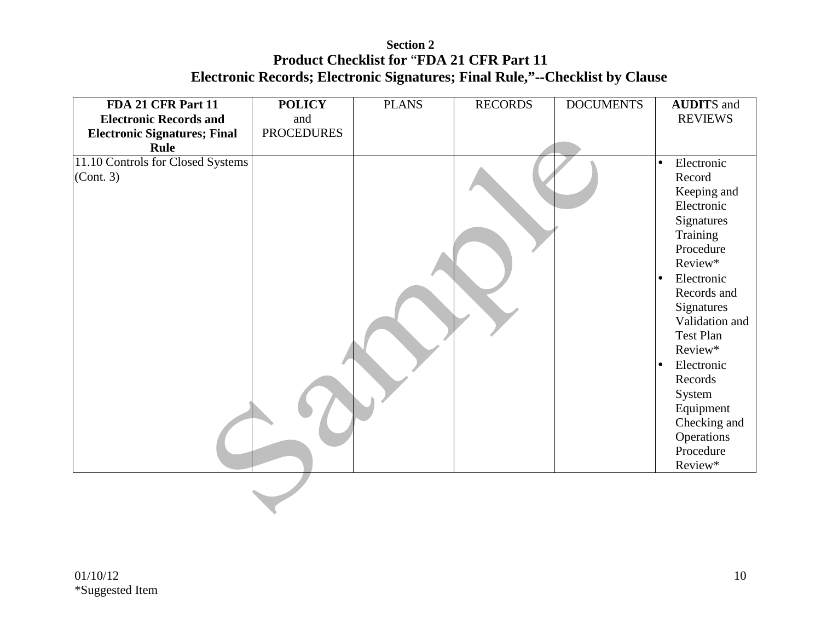| <b>Electronic Records and</b><br>and<br><b>PROCEDURES</b><br><b>Electronic Signatures; Final</b><br>Rule<br>11.10 Controls for Closed Systems<br>$\bullet$<br>(Cont. 3)<br>l o | <b>REVIEWS</b><br>Electronic<br>Record<br>Keeping and<br>Electronic                                                                                                                                                                       |
|--------------------------------------------------------------------------------------------------------------------------------------------------------------------------------|-------------------------------------------------------------------------------------------------------------------------------------------------------------------------------------------------------------------------------------------|
|                                                                                                                                                                                |                                                                                                                                                                                                                                           |
|                                                                                                                                                                                |                                                                                                                                                                                                                                           |
|                                                                                                                                                                                |                                                                                                                                                                                                                                           |
| lo.                                                                                                                                                                            | Signatures<br>Training<br>Procedure<br>Review*<br>Electronic<br>Records and<br>Signatures<br>Validation and<br>Test Plan<br>Review*<br>Electronic<br>Records<br>System<br>Equipment<br>Checking and<br>Operations<br>Procedure<br>Review* |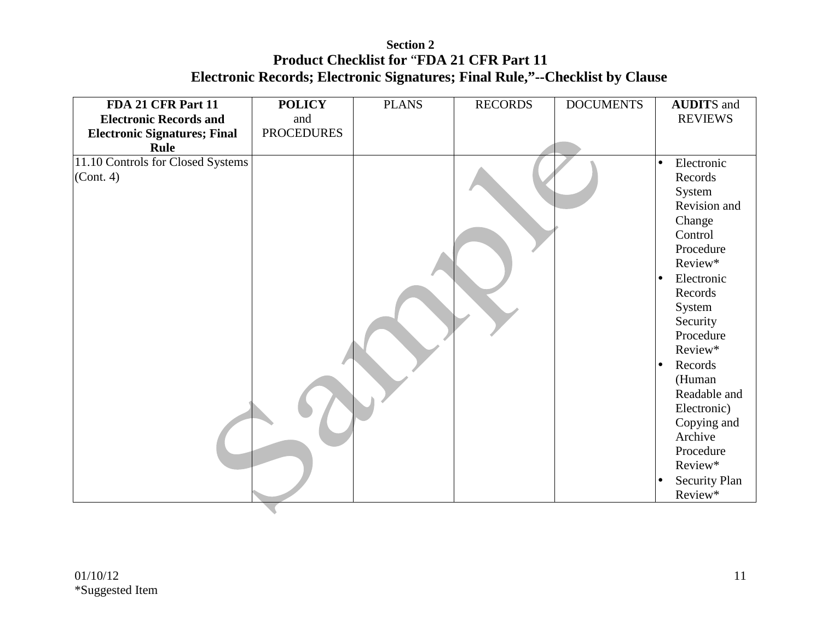| FDA 21 CFR Part 11                  | <b>POLICY</b>     | <b>PLANS</b> | <b>RECORDS</b> | <b>DOCUMENTS</b> | <b>AUDITS</b> and                 |
|-------------------------------------|-------------------|--------------|----------------|------------------|-----------------------------------|
| <b>Electronic Records and</b>       | and               |              |                |                  | <b>REVIEWS</b>                    |
| <b>Electronic Signatures; Final</b> | <b>PROCEDURES</b> |              |                |                  |                                   |
| Rule                                |                   |              |                |                  |                                   |
| 11.10 Controls for Closed Systems   |                   |              |                |                  | Electronic<br>$\bullet$           |
| (Cont. 4)                           |                   |              |                |                  | Records                           |
|                                     |                   |              |                |                  | System                            |
|                                     |                   |              |                |                  | Revision and                      |
|                                     |                   |              |                |                  | Change                            |
|                                     |                   |              |                |                  | Control                           |
|                                     |                   |              |                |                  | Procedure                         |
|                                     |                   |              |                |                  | Review*                           |
|                                     |                   |              |                |                  | Electronic<br>$\bullet$           |
|                                     |                   |              |                |                  | Records                           |
|                                     |                   |              |                |                  | System                            |
|                                     |                   |              |                |                  | Security                          |
|                                     |                   |              |                |                  | Procedure                         |
|                                     |                   |              |                |                  | Review*                           |
|                                     |                   |              |                |                  | Records                           |
|                                     |                   |              |                |                  | (Human                            |
|                                     |                   |              |                |                  | Readable and<br>Electronic)       |
|                                     |                   |              |                |                  |                                   |
|                                     |                   |              |                |                  | Copying and<br>Archive            |
|                                     |                   |              |                |                  | Procedure                         |
|                                     |                   |              |                |                  | Review*                           |
|                                     |                   |              |                |                  | <b>Security Plan</b><br>$\bullet$ |
|                                     |                   |              |                |                  | Review*                           |
|                                     |                   |              |                |                  |                                   |